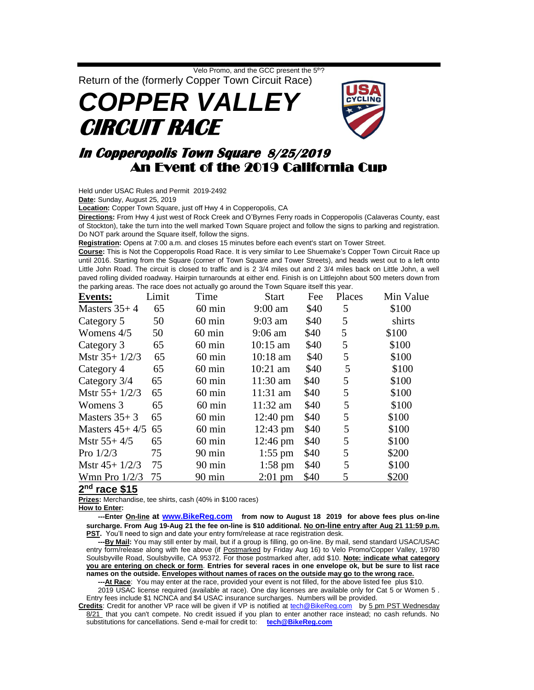Velo Promo, and the GCC present the 5<sup>th</sup>?

Return of the (formerly Copper Town Circuit Race) *COPPER VALLEY* **CIRCUIT RACE** 



## **In Copperopolis Town Square 8/25/2019**  An Event of the 2019 California Cup

Held under USAC Rules and Permit 2019-2492

**Date:** Sunday, August 25, 2019

**Location:** Copper Town Square, just off Hwy 4 in Copperopolis, CA

**Directions:** From Hwy 4 just west of Rock Creek and O'Byrnes Ferry roads in Copperopolis (Calaveras County, east of Stockton), take the turn into the well marked Town Square project and follow the signs to parking and registration. Do NOT park around the Square itself, follow the signs.

**Registration:** Opens at 7:00 a.m. and closes 15 minutes before each event's start on Tower Street.

**Course:** This is Not the Copperopolis Road Race. It is very similar to Lee Shuemake's Copper Town Circuit Race up until 2016. Starting from the Square (corner of Town Square and Tower Streets), and heads west out to a left onto Little John Road. The circuit is closed to traffic and is 2 3/4 miles out and 2 3/4 miles back on Little John, a well paved rolling divided roadway. Hairpin turnarounds at either end. Finish is on Littlejohn about 500 meters down from the parking areas. The race does not actually go around the Town Square itself this year.

| <b>Events:</b>   | Limit | Time             | <b>Start</b>       | Fee  | Places | Min Value |
|------------------|-------|------------------|--------------------|------|--------|-----------|
| Masters $35+4$   | 65    | $60 \text{ min}$ | $9:00$ am          | \$40 | 5      | \$100     |
| Category 5       | 50    | $60 \text{ min}$ | $9:03$ am          | \$40 | 5      | shirts    |
| Womens $4/5$     | 50    | $60 \text{ min}$ | $9:06$ am          | \$40 | 5      | \$100     |
| Category 3       | 65    | $60 \text{ min}$ | $10:15$ am         | \$40 | 5      | \$100     |
| Mstr $35+1/2/3$  | 65    | $60 \text{ min}$ | $10:18$ am         | \$40 | 5      | \$100     |
| Category 4       | 65    | $60 \text{ min}$ | $10:21$ am         | \$40 | 5      | \$100     |
| Category 3/4     | 65    | $60 \text{ min}$ | $11:30$ am         | \$40 | 5      | \$100     |
| Mstr $55+1/2/3$  | 65    | $60 \text{ min}$ | $11:31$ am         | \$40 | 5      | \$100     |
| Womens 3         | 65    | $60 \text{ min}$ | $11:32$ am         | \$40 | 5      | \$100     |
| Masters $35+3$   | 65    | $60 \text{ min}$ | $12:40 \text{ pm}$ | \$40 | 5      | \$100     |
| Masters $45+4/5$ | 65    | $60 \text{ min}$ | $12:43 \text{ pm}$ | \$40 | 5      | \$100     |
| Mstr $55+4/5$    | 65    | $60 \text{ min}$ | $12:46 \text{ pm}$ | \$40 | 5      | \$100     |
| Pro $1/2/3$      | 75    | $90 \text{ min}$ | $1:55$ pm          | \$40 | 5      | \$200     |
| Mstr $45+1/2/3$  | 75    | $90 \text{ min}$ | 1:58 pm            | \$40 | 5      | \$100     |
| Wmn Pro $1/2/3$  | 75    | $90 \text{ min}$ | $2:01$ pm          | \$40 | 5      | \$200     |
|                  |       |                  |                    |      |        |           |

## **2 nd race \$15**

**Prizes:** Merchandise, tee shirts, cash (40% in \$100 races)

**How to Enter:**

 **---Enter On-line at [www.BikeReg.com](http://www.bikereg.com/) from now to August 18 2019 for above fees plus on-line surcharge. From Aug 19-Aug 21 the fee on-line is \$10 additional. No on-line entry after Aug 21 11:59 p.m. PST.** You'll need to sign and date your entry form/release at race registration desk.

**By Mail:** You may still enter by mail, but if a group is filling, go on-line. By mail, send standard USAC/USAC entry form/release along with fee above (if Postmarked by Friday Aug 16) to Velo Promo/Copper Valley, 19780 Soulsbyville Road, Soulsbyville, CA 95372. For those postmarked after, add \$10. **Note: indicate what category you are entering on check or form**. **Entries for several races in one envelope ok, but be sure to list race names on the outside. Envelopes without names of races on the outside may go to the wrong race.**

 **---At Race**: You may enter at the race, provided your event is not filled, for the above listed fee plus \$10.

2019 USAC license required (available at race). One day licenses are available only for Cat 5 or Women 5 . Entry fees include \$1 NCNCA and \$4 USAC insurance surcharges. Numbers will be provided.

**Credits**: Credit for another VP race will be given if VP is notified at [tech@BikeReg.com](mailto:tech@BikeReg.com) by 5 pm PST Wednesday 8/21 that you can't compete. No credit issued if you plan to enter another race instead; no cash refunds. No substitutions for cancellations. Send e-mail for credit to: **[tech@BikeReg.com](mailto:tech@BikeReg.com)**